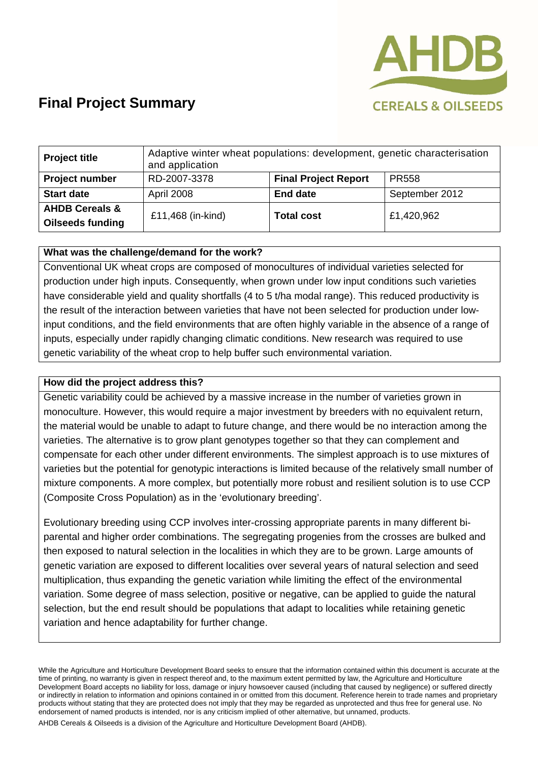

# **Final Project Summary**

| <b>Project title</b>                                 | Adaptive winter wheat populations: development, genetic characterisation<br>and application |                             |                |
|------------------------------------------------------|---------------------------------------------------------------------------------------------|-----------------------------|----------------|
| <b>Project number</b>                                | RD-2007-3378                                                                                | <b>Final Project Report</b> | <b>PR558</b>   |
| <b>Start date</b>                                    | April 2008                                                                                  | <b>End date</b>             | September 2012 |
| <b>AHDB Cereals &amp;</b><br><b>Oilseeds funding</b> | £11,468 (in-kind)                                                                           | <b>Total cost</b>           | £1,420,962     |

### **What was the challenge/demand for the work?**

Conventional UK wheat crops are composed of monocultures of individual varieties selected for production under high inputs. Consequently, when grown under low input conditions such varieties have considerable yield and quality shortfalls (4 to 5 t/ha modal range). This reduced productivity is the result of the interaction between varieties that have not been selected for production under lowinput conditions, and the field environments that are often highly variable in the absence of a range of inputs, especially under rapidly changing climatic conditions. New research was required to use genetic variability of the wheat crop to help buffer such environmental variation.

#### **How did the project address this?**

Genetic variability could be achieved by a massive increase in the number of varieties grown in monoculture. However, this would require a major investment by breeders with no equivalent return, the material would be unable to adapt to future change, and there would be no interaction among the varieties. The alternative is to grow plant genotypes together so that they can complement and compensate for each other under different environments. The simplest approach is to use mixtures of varieties but the potential for genotypic interactions is limited because of the relatively small number of mixture components. A more complex, but potentially more robust and resilient solution is to use CCP (Composite Cross Population) as in the 'evolutionary breeding'.

Evolutionary breeding using CCP involves inter-crossing appropriate parents in many different biparental and higher order combinations. The segregating progenies from the crosses are bulked and then exposed to natural selection in the localities in which they are to be grown. Large amounts of genetic variation are exposed to different localities over several years of natural selection and seed multiplication, thus expanding the genetic variation while limiting the effect of the environmental variation. Some degree of mass selection, positive or negative, can be applied to guide the natural selection, but the end result should be populations that adapt to localities while retaining genetic variation and hence adaptability for further change.

While the Agriculture and Horticulture Development Board seeks to ensure that the information contained within this document is accurate at the time of printing, no warranty is given in respect thereof and, to the maximum extent permitted by law, the Agriculture and Horticulture Development Board accepts no liability for loss, damage or injury howsoever caused (including that caused by negligence) or suffered directly or indirectly in relation to information and opinions contained in or omitted from this document. Reference herein to trade names and proprietary products without stating that they are protected does not imply that they may be regarded as unprotected and thus free for general use. No endorsement of named products is intended, nor is any criticism implied of other alternative, but unnamed, products.

AHDB Cereals & Oilseeds is a division of the Agriculture and Horticulture Development Board (AHDB).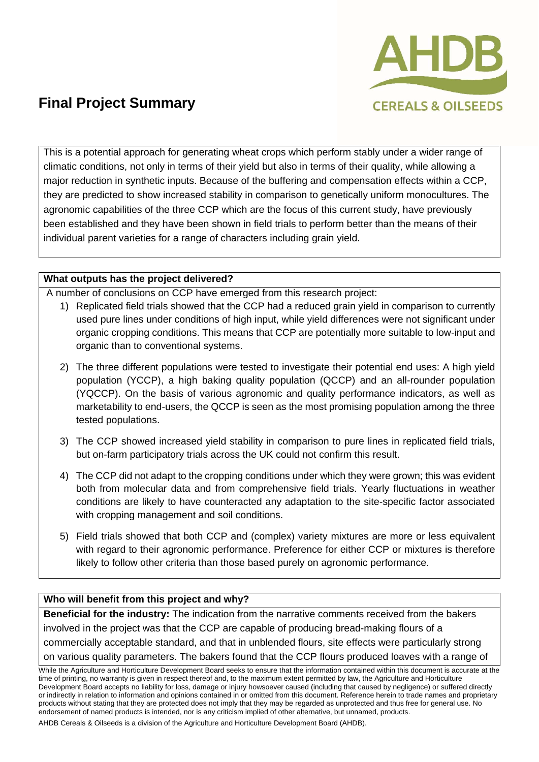

# **Final Project Summary**

This is a potential approach for generating wheat crops which perform stably under a wider range of climatic conditions, not only in terms of their yield but also in terms of their quality, while allowing a major reduction in synthetic inputs. Because of the buffering and compensation effects within a CCP, they are predicted to show increased stability in comparison to genetically uniform monocultures. The agronomic capabilities of the three CCP which are the focus of this current study, have previously been established and they have been shown in field trials to perform better than the means of their individual parent varieties for a range of characters including grain yield.

### **What outputs has the project delivered?**

A number of conclusions on CCP have emerged from this research project:

- 1) Replicated field trials showed that the CCP had a reduced grain yield in comparison to currently used pure lines under conditions of high input, while yield differences were not significant under organic cropping conditions. This means that CCP are potentially more suitable to low-input and organic than to conventional systems.
- 2) The three different populations were tested to investigate their potential end uses: A high yield population (YCCP), a high baking quality population (QCCP) and an all-rounder population (YQCCP). On the basis of various agronomic and quality performance indicators, as well as marketability to end-users, the QCCP is seen as the most promising population among the three tested populations.
- 3) The CCP showed increased yield stability in comparison to pure lines in replicated field trials, but on-farm participatory trials across the UK could not confirm this result.
- 4) The CCP did not adapt to the cropping conditions under which they were grown; this was evident both from molecular data and from comprehensive field trials. Yearly fluctuations in weather conditions are likely to have counteracted any adaptation to the site-specific factor associated with cropping management and soil conditions.
- 5) Field trials showed that both CCP and (complex) variety mixtures are more or less equivalent with regard to their agronomic performance. Preference for either CCP or mixtures is therefore likely to follow other criteria than those based purely on agronomic performance.

### **Who will benefit from this project and why?**

**Beneficial for the industry:** The indication from the narrative comments received from the bakers involved in the project was that the CCP are capable of producing bread-making flours of a commercially acceptable standard, and that in unblended flours, site effects were particularly strong on various quality parameters. The bakers found that the CCP flours produced loaves with a range of

While the Agriculture and Horticulture Development Board seeks to ensure that the information contained within this document is accurate at the time of printing, no warranty is given in respect thereof and, to the maximum extent permitted by law, the Agriculture and Horticulture Development Board accepts no liability for loss, damage or injury howsoever caused (including that caused by negligence) or suffered directly or indirectly in relation to information and opinions contained in or omitted from this document. Reference herein to trade names and proprietary products without stating that they are protected does not imply that they may be regarded as unprotected and thus free for general use. No endorsement of named products is intended, nor is any criticism implied of other alternative, but unnamed, products.

AHDB Cereals & Oilseeds is a division of the Agriculture and Horticulture Development Board (AHDB).